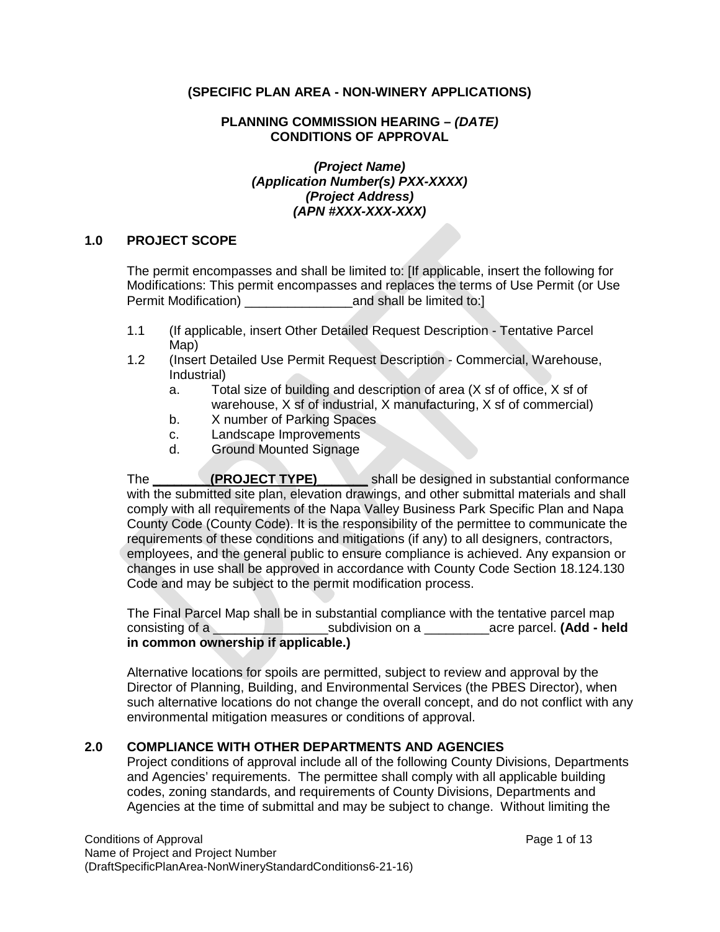### **(SPECIFIC PLAN AREA - NON-WINERY APPLICATIONS)**

#### **PLANNING COMMISSION HEARING –** *(DATE)* **CONDITIONS OF APPROVAL**

*(Project Name) (Application Number(s) PXX-XXXX) (Project Address) (APN #XXX-XXX-XXX)*

### **1.0 PROJECT SCOPE**

The permit encompasses and shall be limited to: [If applicable, insert the following for Modifications: This permit encompasses and replaces the terms of Use Permit (or Use Permit Modification) \_\_\_\_\_\_\_\_\_\_\_\_\_\_\_and shall be limited to:]

- 1.1 (If applicable, insert Other Detailed Request Description Tentative Parcel Map)
- 1.2 (Insert Detailed Use Permit Request Description Commercial, Warehouse, Industrial)
	- a. Total size of building and description of area (X sf of office, X sf of warehouse, X sf of industrial, X manufacturing, X sf of commercial)
	- b. X number of Parking Spaces
	- c. Landscape Improvements<br>d. Ground Mounted Signage
	- **Ground Mounted Signage**

The **FROJECT TYPE** shall be designed in substantial conformance with the submitted site plan, elevation drawings, and other submittal materials and shall comply with all requirements of the Napa Valley Business Park Specific Plan and Napa County Code (County Code). It is the responsibility of the permittee to communicate the requirements of these conditions and mitigations (if any) to all designers, contractors, employees, and the general public to ensure compliance is achieved. Any expansion or changes in use shall be approved in accordance with County Code Section 18.124.130 Code and may be subject to the permit modification process.

The Final Parcel Map shall be in substantial compliance with the tentative parcel map<br>consisting of a subdivision on a subdivision on a acre parcel. (Add - help subdivision on a \_\_\_\_\_\_\_\_\_\_\_\_\_acre parcel. **(Add - held in common ownership if applicable.)**

Alternative locations for spoils are permitted, subject to review and approval by the Director of Planning, Building, and Environmental Services (the PBES Director), when such alternative locations do not change the overall concept, and do not conflict with any environmental mitigation measures or conditions of approval.

### **2.0 COMPLIANCE WITH OTHER DEPARTMENTS AND AGENCIES**

Project conditions of approval include all of the following County Divisions, Departments and Agencies' requirements. The permittee shall comply with all applicable building codes, zoning standards, and requirements of County Divisions, Departments and Agencies at the time of submittal and may be subject to change. Without limiting the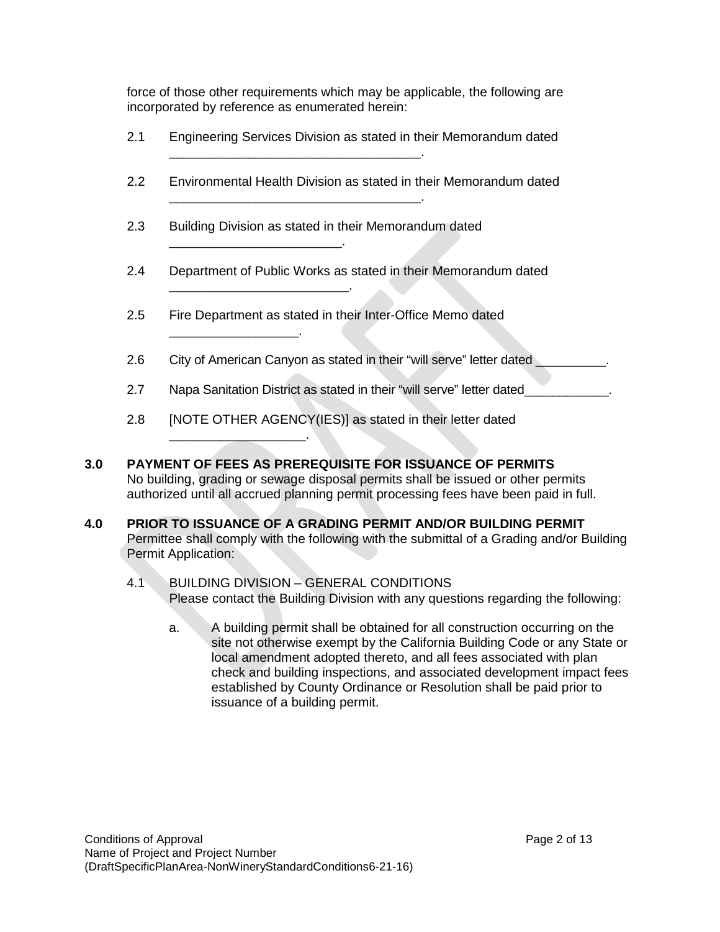force of those other requirements which may be applicable, the following are incorporated by reference as enumerated herein:

- 2.1 Engineering Services Division as stated in their Memorandum dated
- 2.2 Environmental Health Division as stated in their Memorandum dated
- 2.3 Building Division as stated in their Memorandum dated

\_\_\_\_\_\_\_\_\_\_\_\_\_\_\_\_\_\_\_\_\_\_\_\_\_\_\_\_\_\_\_\_\_\_\_.

\_\_\_\_\_\_\_\_\_\_\_\_\_\_\_\_\_\_\_\_\_\_\_\_\_\_\_\_\_\_\_\_\_\_\_.

\_\_\_\_\_\_\_\_\_\_\_\_\_\_\_\_\_\_\_\_\_\_\_\_.

\_\_\_\_\_\_\_\_\_\_\_\_\_\_\_\_\_\_\_\_\_\_\_\_\_.

 $\overline{\phantom{a}}$  , and the set of the set of the set of the set of the set of the set of the set of the set of the set of the set of the set of the set of the set of the set of the set of the set of the set of the set of the s

\_\_\_\_\_\_\_\_\_\_\_\_\_\_\_\_\_\_\_.

- 2.4 Department of Public Works as stated in their Memorandum dated
- 2.5 Fire Department as stated in their Inter-Office Memo dated
- 2.6 City of American Canyon as stated in their "will serve" letter dated
- 2.7 Napa Sanitation District as stated in their "will serve" letter dated
- 2.8 [NOTE OTHER AGENCY(IES)] as stated in their letter dated
- **3.0 PAYMENT OF FEES AS PREREQUISITE FOR ISSUANCE OF PERMITS** No building, grading or sewage disposal permits shall be issued or other permits authorized until all accrued planning permit processing fees have been paid in full.
- **4.0 PRIOR TO ISSUANCE OF A GRADING PERMIT AND/OR BUILDING PERMIT** Permittee shall comply with the following with the submittal of a Grading and/or Building Permit Application:
	- 4.1 BUILDING DIVISION GENERAL CONDITIONS Please contact the Building Division with any questions regarding the following:
		- a. A building permit shall be obtained for all construction occurring on the site not otherwise exempt by the California Building Code or any State or local amendment adopted thereto, and all fees associated with plan check and building inspections, and associated development impact fees established by County Ordinance or Resolution shall be paid prior to issuance of a building permit.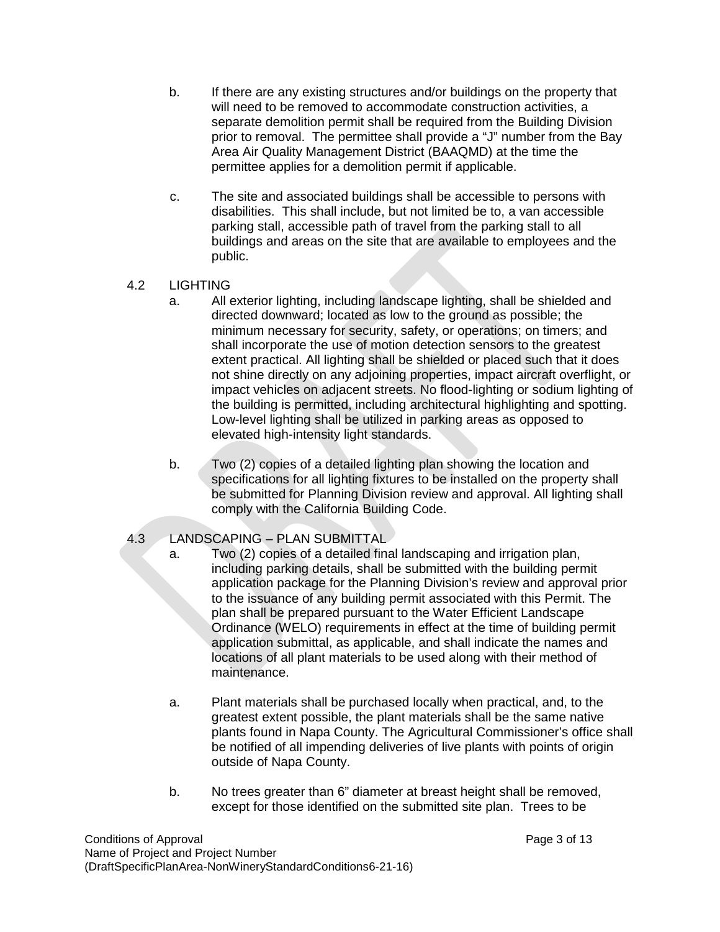- b. If there are any existing structures and/or buildings on the property that will need to be removed to accommodate construction activities, a separate demolition permit shall be required from the Building Division prior to removal. The permittee shall provide a "J" number from the Bay Area Air Quality Management District (BAAQMD) at the time the permittee applies for a demolition permit if applicable.
- c. The site and associated buildings shall be accessible to persons with disabilities. This shall include, but not limited be to, a van accessible parking stall, accessible path of travel from the parking stall to all buildings and areas on the site that are available to employees and the public.

# 4.2 LIGHTING

- a. All exterior lighting, including landscape lighting, shall be shielded and directed downward; located as low to the ground as possible; the minimum necessary for security, safety, or operations; on timers; and shall incorporate the use of motion detection sensors to the greatest extent practical. All lighting shall be shielded or placed such that it does not shine directly on any adjoining properties, impact aircraft overflight, or impact vehicles on adjacent streets. No flood-lighting or sodium lighting of the building is permitted, including architectural highlighting and spotting. Low-level lighting shall be utilized in parking areas as opposed to elevated high-intensity light standards.
- b. Two (2) copies of a detailed lighting plan showing the location and specifications for all lighting fixtures to be installed on the property shall be submitted for Planning Division review and approval. All lighting shall comply with the California Building Code.

# 4.3 LANDSCAPING – PLAN SUBMITTAL

- a. Two (2) copies of a detailed final landscaping and irrigation plan, including parking details, shall be submitted with the building permit application package for the Planning Division's review and approval prior to the issuance of any building permit associated with this Permit. The plan shall be prepared pursuant to the Water Efficient Landscape Ordinance (WELO) requirements in effect at the time of building permit application submittal, as applicable, and shall indicate the names and locations of all plant materials to be used along with their method of maintenance.
- a. Plant materials shall be purchased locally when practical, and, to the greatest extent possible, the plant materials shall be the same native plants found in Napa County. The Agricultural Commissioner's office shall be notified of all impending deliveries of live plants with points of origin outside of Napa County.
- b. No trees greater than 6" diameter at breast height shall be removed, except for those identified on the submitted site plan. Trees to be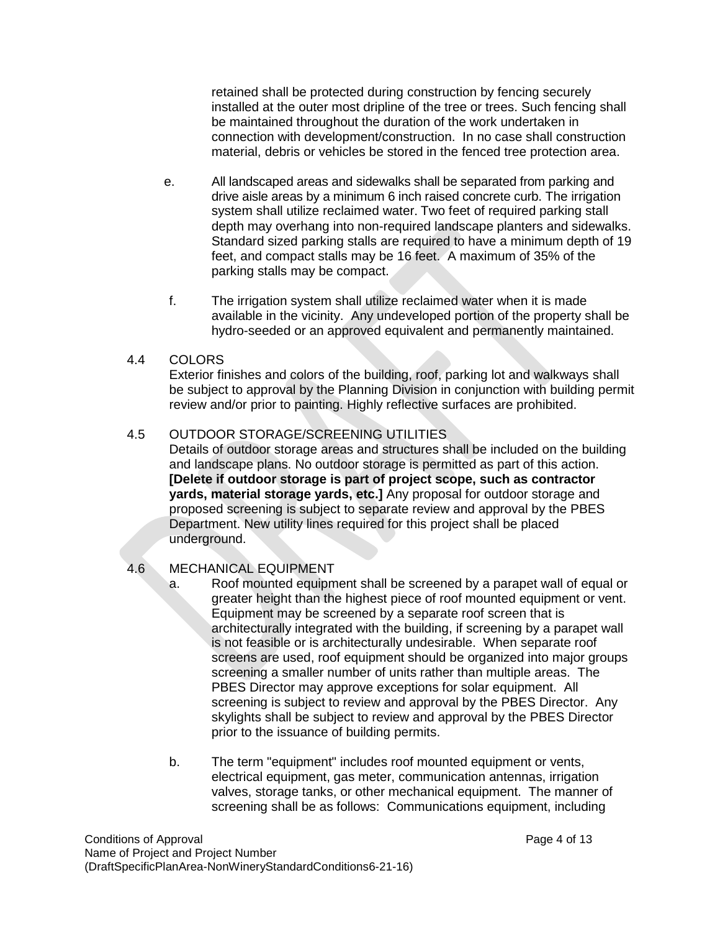retained shall be protected during construction by fencing securely installed at the outer most dripline of the tree or trees. Such fencing shall be maintained throughout the duration of the work undertaken in connection with development/construction. In no case shall construction material, debris or vehicles be stored in the fenced tree protection area.

- e. All landscaped areas and sidewalks shall be separated from parking and drive aisle areas by a minimum 6 inch raised concrete curb. The irrigation system shall utilize reclaimed water. Two feet of required parking stall depth may overhang into non-required landscape planters and sidewalks. Standard sized parking stalls are required to have a minimum depth of 19 feet, and compact stalls may be 16 feet. A maximum of 35% of the parking stalls may be compact.
- f. The irrigation system shall utilize reclaimed water when it is made available in the vicinity. Any undeveloped portion of the property shall be hydro-seeded or an approved equivalent and permanently maintained.

#### 4.4 COLORS

Exterior finishes and colors of the building, roof, parking lot and walkways shall be subject to approval by the Planning Division in conjunction with building permit review and/or prior to painting. Highly reflective surfaces are prohibited.

### 4.5 OUTDOOR STORAGE/SCREENING UTILITIES

Details of outdoor storage areas and structures shall be included on the building and landscape plans. No outdoor storage is permitted as part of this action. **[Delete if outdoor storage is part of project scope, such as contractor yards, material storage yards, etc.]** Any proposal for outdoor storage and proposed screening is subject to separate review and approval by the PBES Department. New utility lines required for this project shall be placed underground.

### 4.6 MECHANICAL EQUIPMENT

- a. Roof mounted equipment shall be screened by a parapet wall of equal or greater height than the highest piece of roof mounted equipment or vent. Equipment may be screened by a separate roof screen that is architecturally integrated with the building, if screening by a parapet wall is not feasible or is architecturally undesirable. When separate roof screens are used, roof equipment should be organized into major groups screening a smaller number of units rather than multiple areas. The PBES Director may approve exceptions for solar equipment. All screening is subject to review and approval by the PBES Director. Any skylights shall be subject to review and approval by the PBES Director prior to the issuance of building permits.
- b. The term "equipment" includes roof mounted equipment or vents, electrical equipment, gas meter, communication antennas, irrigation valves, storage tanks, or other mechanical equipment. The manner of screening shall be as follows: Communications equipment, including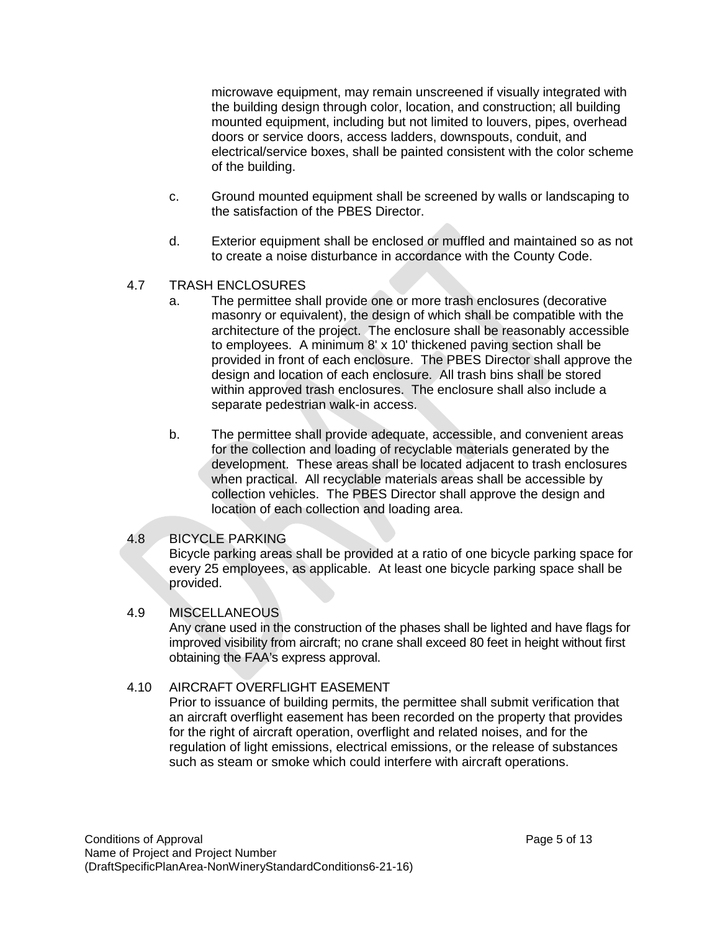microwave equipment, may remain unscreened if visually integrated with the building design through color, location, and construction; all building mounted equipment, including but not limited to louvers, pipes, overhead doors or service doors, access ladders, downspouts, conduit, and electrical/service boxes, shall be painted consistent with the color scheme of the building.

- c. Ground mounted equipment shall be screened by walls or landscaping to the satisfaction of the PBES Director.
- d. Exterior equipment shall be enclosed or muffled and maintained so as not to create a noise disturbance in accordance with the County Code.

### 4.7 TRASH ENCLOSURES

- a. The permittee shall provide one or more trash enclosures (decorative masonry or equivalent), the design of which shall be compatible with the architecture of the project. The enclosure shall be reasonably accessible to employees. A minimum 8' x 10' thickened paving section shall be provided in front of each enclosure. The PBES Director shall approve the design and location of each enclosure. All trash bins shall be stored within approved trash enclosures. The enclosure shall also include a separate pedestrian walk-in access.
- b. The permittee shall provide adequate, accessible, and convenient areas for the collection and loading of recyclable materials generated by the development. These areas shall be located adjacent to trash enclosures when practical. All recyclable materials areas shall be accessible by collection vehicles. The PBES Director shall approve the design and location of each collection and loading area.

### 4.8 BICYCLE PARKING

Bicycle parking areas shall be provided at a ratio of one bicycle parking space for every 25 employees, as applicable. At least one bicycle parking space shall be provided.

#### 4.9 MISCELLANEOUS

Any crane used in the construction of the phases shall be lighted and have flags for improved visibility from aircraft; no crane shall exceed 80 feet in height without first obtaining the FAA's express approval.

### 4.10 AIRCRAFT OVERFLIGHT EASEMENT

Prior to issuance of building permits, the permittee shall submit verification that an aircraft overflight easement has been recorded on the property that provides for the right of aircraft operation, overflight and related noises, and for the regulation of light emissions, electrical emissions, or the release of substances such as steam or smoke which could interfere with aircraft operations.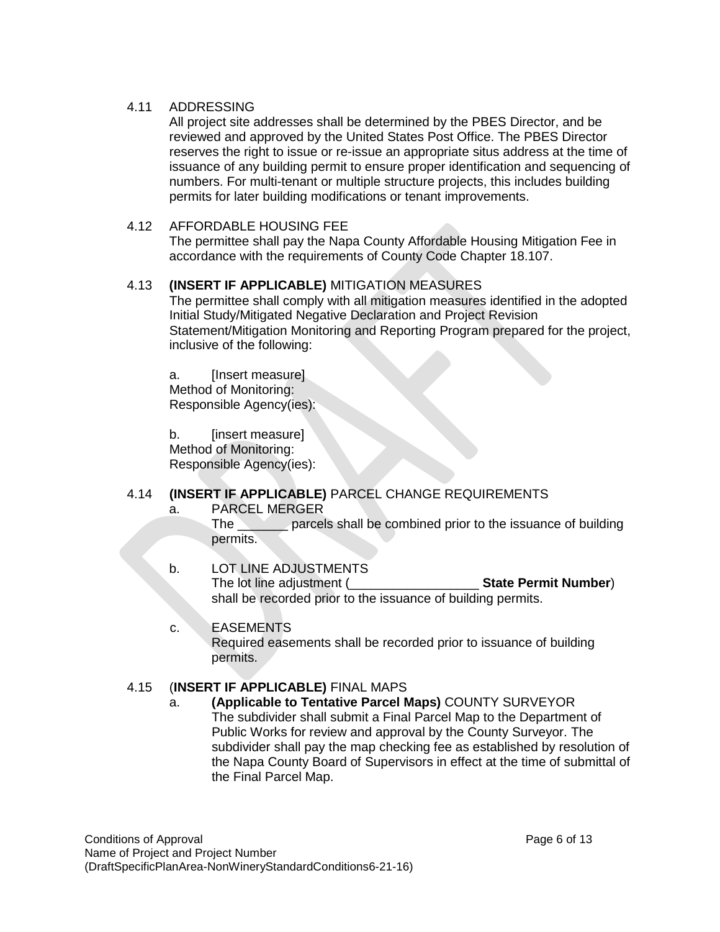#### 4.11 ADDRESSING

All project site addresses shall be determined by the PBES Director, and be reviewed and approved by the United States Post Office. The PBES Director reserves the right to issue or re-issue an appropriate situs address at the time of issuance of any building permit to ensure proper identification and sequencing of numbers. For multi-tenant or multiple structure projects, this includes building permits for later building modifications or tenant improvements.

### 4.12 AFFORDABLE HOUSING FEE

The permittee shall pay the Napa County Affordable Housing Mitigation Fee in accordance with the requirements of County Code Chapter 18.107.

### 4.13 **(INSERT IF APPLICABLE)** MITIGATION MEASURES

The permittee shall comply with all mitigation measures identified in the adopted Initial Study/Mitigated Negative Declaration and Project Revision Statement/Mitigation Monitoring and Reporting Program prepared for the project, inclusive of the following:

a. [Insert measure] Method of Monitoring: Responsible Agency(ies):

b. [insert measure] Method of Monitoring: Responsible Agency(ies):

# 4.14 **(INSERT IF APPLICABLE)** PARCEL CHANGE REQUIREMENTS

### a. PARCEL MERGER

The <u>secon parcels</u> shall be combined prior to the issuance of building permits.

- b. LOT LINE ADJUSTMENTS The lot line adjustment (\_\_\_\_\_\_\_\_\_\_\_\_\_\_\_\_\_\_ **State Permit Number**) shall be recorded prior to the issuance of building permits.
- c. EASEMENTS Required easements shall be recorded prior to issuance of building permits.

### 4.15 (**INSERT IF APPLICABLE)** FINAL MAPS

a. **(Applicable to Tentative Parcel Maps)** COUNTY SURVEYOR The subdivider shall submit a Final Parcel Map to the Department of Public Works for review and approval by the County Surveyor. The subdivider shall pay the map checking fee as established by resolution of the Napa County Board of Supervisors in effect at the time of submittal of the Final Parcel Map.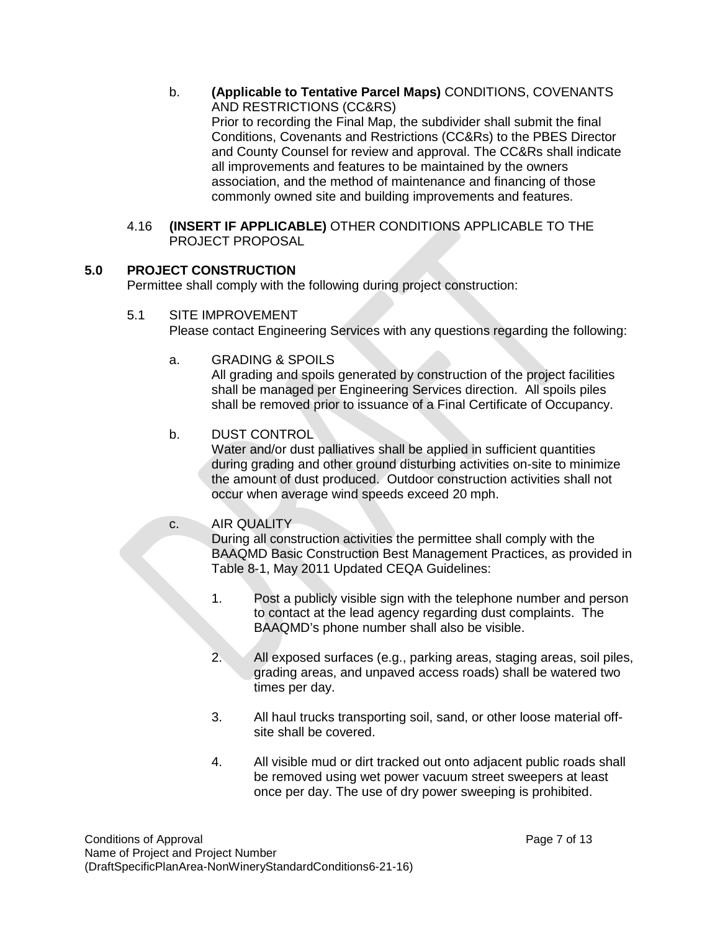b. **(Applicable to Tentative Parcel Maps)** CONDITIONS, COVENANTS AND RESTRICTIONS (CC&RS) Prior to recording the Final Map, the subdivider shall submit the final

Conditions, Covenants and Restrictions (CC&Rs) to the PBES Director and County Counsel for review and approval. The CC&Rs shall indicate all improvements and features to be maintained by the owners association, and the method of maintenance and financing of those commonly owned site and building improvements and features.

#### 4.16 **(INSERT IF APPLICABLE)** OTHER CONDITIONS APPLICABLE TO THE PROJECT PROPOSAL

# **5.0 PROJECT CONSTRUCTION**

Permittee shall comply with the following during project construction:

5.1 SITE IMPROVEMENT

Please contact Engineering Services with any questions regarding the following:

a. GRADING & SPOILS

All grading and spoils generated by construction of the project facilities shall be managed per Engineering Services direction. All spoils piles shall be removed prior to issuance of a Final Certificate of Occupancy.

b. DUST CONTROL

Water and/or dust palliatives shall be applied in sufficient quantities during grading and other ground disturbing activities on-site to minimize the amount of dust produced. Outdoor construction activities shall not occur when average wind speeds exceed 20 mph.

c. AIR QUALITY

During all construction activities the permittee shall comply with the BAAQMD Basic Construction Best Management Practices, as provided in Table 8-1, May 2011 Updated CEQA Guidelines:

- 1. Post a publicly visible sign with the telephone number and person to contact at the lead agency regarding dust complaints. The BAAQMD's phone number shall also be visible.
- 2. All exposed surfaces (e.g., parking areas, staging areas, soil piles, grading areas, and unpaved access roads) shall be watered two times per day.
- 3. All haul trucks transporting soil, sand, or other loose material offsite shall be covered.
- 4. All visible mud or dirt tracked out onto adjacent public roads shall be removed using wet power vacuum street sweepers at least once per day. The use of dry power sweeping is prohibited.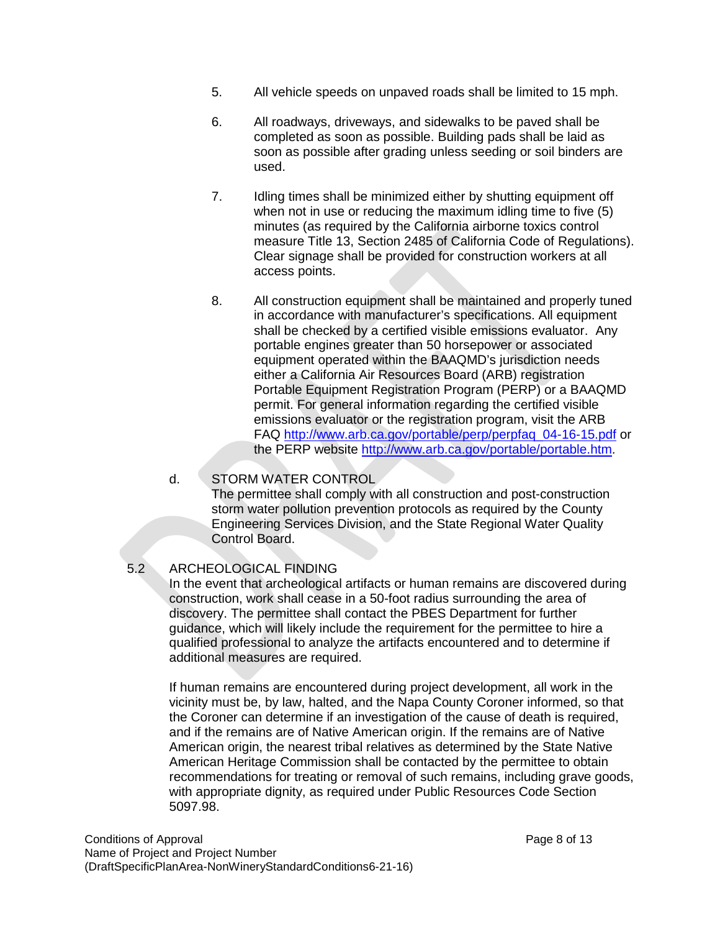- 5. All vehicle speeds on unpaved roads shall be limited to 15 mph.
- 6. All roadways, driveways, and sidewalks to be paved shall be completed as soon as possible. Building pads shall be laid as soon as possible after grading unless seeding or soil binders are used.
- 7. Idling times shall be minimized either by shutting equipment off when not in use or reducing the maximum idling time to five (5) minutes (as required by the California airborne toxics control measure Title 13, Section 2485 of California Code of Regulations). Clear signage shall be provided for construction workers at all access points.
- 8. All construction equipment shall be maintained and properly tuned in accordance with manufacturer's specifications. All equipment shall be checked by a certified visible emissions evaluator. Any portable engines greater than 50 horsepower or associated equipment operated within the BAAQMD's jurisdiction needs either a California Air Resources Board (ARB) registration Portable Equipment Registration Program (PERP) or a BAAQMD permit. For general information regarding the certified visible emissions evaluator or the registration program, visit the ARB FAQ [http://www.arb.ca.gov/portable/perp/perpfaq\\_04-16-15.pdf](http://www.arb.ca.gov/portable/perp/perpfaq_04-16-15.pdf) or the PERP website [http://www.arb.ca.gov/portable/portable.htm.](http://www.arb.ca.gov/portable/portable.htm)

### d. STORM WATER CONTROL

The permittee shall comply with all construction and post-construction storm water pollution prevention protocols as required by the County Engineering Services Division, and the State Regional Water Quality Control Board.

### 5.2 ARCHEOLOGICAL FINDING

In the event that archeological artifacts or human remains are discovered during construction, work shall cease in a 50-foot radius surrounding the area of discovery. The permittee shall contact the PBES Department for further guidance, which will likely include the requirement for the permittee to hire a qualified professional to analyze the artifacts encountered and to determine if additional measures are required.

If human remains are encountered during project development, all work in the vicinity must be, by law, halted, and the Napa County Coroner informed, so that the Coroner can determine if an investigation of the cause of death is required, and if the remains are of Native American origin. If the remains are of Native American origin, the nearest tribal relatives as determined by the State Native American Heritage Commission shall be contacted by the permittee to obtain recommendations for treating or removal of such remains, including grave goods, with appropriate dignity, as required under Public Resources Code Section 5097.98.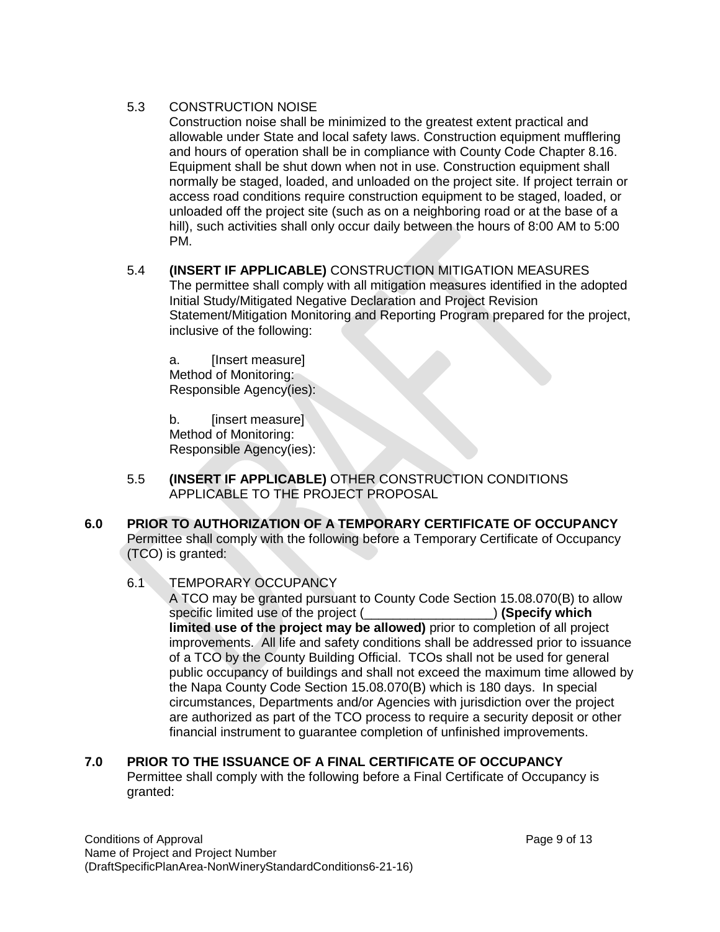# 5.3 CONSTRUCTION NOISE

Construction noise shall be minimized to the greatest extent practical and allowable under State and local safety laws. Construction equipment mufflering and hours of operation shall be in compliance with County Code Chapter 8.16. Equipment shall be shut down when not in use. Construction equipment shall normally be staged, loaded, and unloaded on the project site. If project terrain or access road conditions require construction equipment to be staged, loaded, or unloaded off the project site (such as on a neighboring road or at the base of a hill), such activities shall only occur daily between the hours of 8:00 AM to 5:00 PM.

#### 5.4 **(INSERT IF APPLICABLE)** CONSTRUCTION MITIGATION MEASURES The permittee shall comply with all mitigation measures identified in the adopted Initial Study/Mitigated Negative Declaration and Project Revision Statement/Mitigation Monitoring and Reporting Program prepared for the project, inclusive of the following:

a. [Insert measure] Method of Monitoring: Responsible Agency(ies):

b. **[insert measure]** Method of Monitoring: Responsible Agency(ies):

- 5.5 **(INSERT IF APPLICABLE)** OTHER CONSTRUCTION CONDITIONS APPLICABLE TO THE PROJECT PROPOSAL
- **6.0 PRIOR TO AUTHORIZATION OF A TEMPORARY CERTIFICATE OF OCCUPANCY** Permittee shall comply with the following before a Temporary Certificate of Occupancy (TCO) is granted:

# 6.1 TEMPORARY OCCUPANCY

A TCO may be granted pursuant to County Code Section 15.08.070(B) to allow specific limited use of the project (\_\_\_\_\_\_\_\_\_\_\_\_\_\_\_\_\_\_) **(Specify which limited use of the project may be allowed)** prior to completion of all project improvements. All life and safety conditions shall be addressed prior to issuance of a TCO by the County Building Official. TCOs shall not be used for general public occupancy of buildings and shall not exceed the maximum time allowed by the Napa County Code Section 15.08.070(B) which is 180 days. In special circumstances, Departments and/or Agencies with jurisdiction over the project are authorized as part of the TCO process to require a security deposit or other financial instrument to guarantee completion of unfinished improvements.

### **7.0 PRIOR TO THE ISSUANCE OF A FINAL CERTIFICATE OF OCCUPANCY** Permittee shall comply with the following before a Final Certificate of Occupancy is granted: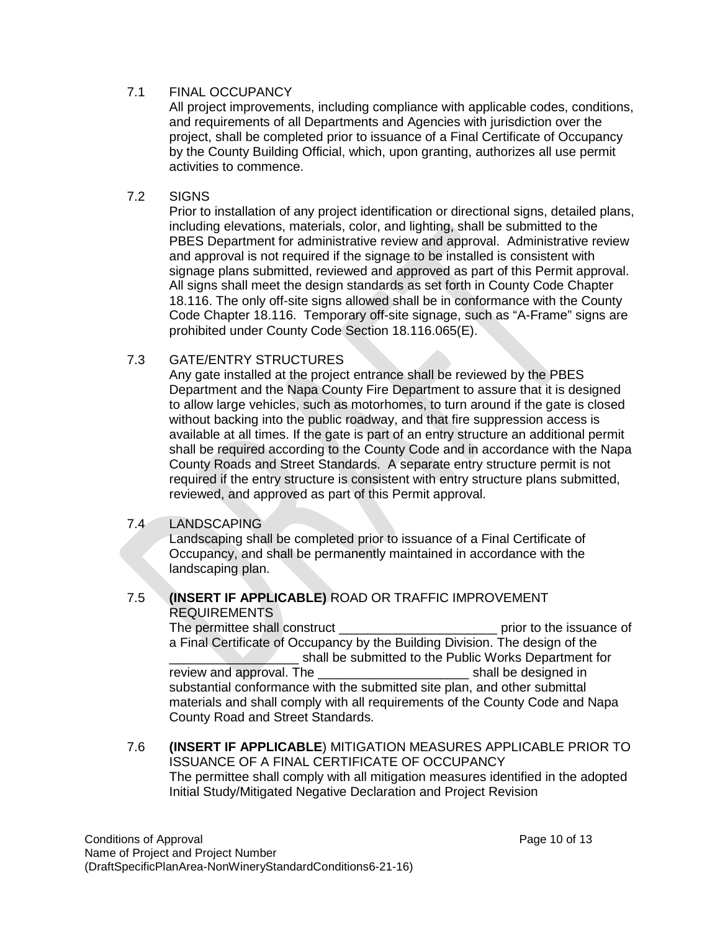# 7.1 FINAL OCCUPANCY

All project improvements, including compliance with applicable codes, conditions, and requirements of all Departments and Agencies with jurisdiction over the project, shall be completed prior to issuance of a Final Certificate of Occupancy by the County Building Official, which, upon granting, authorizes all use permit activities to commence.

# 7.2 SIGNS

Prior to installation of any project identification or directional signs, detailed plans, including elevations, materials, color, and lighting, shall be submitted to the PBES Department for administrative review and approval. Administrative review and approval is not required if the signage to be installed is consistent with signage plans submitted, reviewed and approved as part of this Permit approval. All signs shall meet the design standards as set forth in County Code Chapter 18.116. The only off-site signs allowed shall be in conformance with the County Code Chapter 18.116. Temporary off-site signage, such as "A-Frame" signs are prohibited under County Code Section 18.116.065(E).

# 7.3 GATE/ENTRY STRUCTURES

Any gate installed at the project entrance shall be reviewed by the PBES Department and the Napa County Fire Department to assure that it is designed to allow large vehicles, such as motorhomes, to turn around if the gate is closed without backing into the public roadway, and that fire suppression access is available at all times. If the gate is part of an entry structure an additional permit shall be required according to the County Code and in accordance with the Napa County Roads and Street Standards. A separate entry structure permit is not required if the entry structure is consistent with entry structure plans submitted, reviewed, and approved as part of this Permit approval.

# 7.4 LANDSCAPING

Landscaping shall be completed prior to issuance of a Final Certificate of Occupancy, and shall be permanently maintained in accordance with the landscaping plan.

### 7.5 **(INSERT IF APPLICABLE)** ROAD OR TRAFFIC IMPROVEMENT REQUIREMENTS

The permittee shall construct \_\_\_\_\_\_\_\_\_\_\_\_\_\_\_\_\_\_\_\_\_\_ prior to the issuance of a Final Certificate of Occupancy by the Building Division. The design of the shall be submitted to the Public Works Department for review and approval. The \_\_\_\_\_\_\_\_\_\_\_\_\_\_\_\_\_\_\_\_\_ shall be designed in substantial conformance with the submitted site plan, and other submittal materials and shall comply with all requirements of the County Code and Napa County Road and Street Standards.

7.6 **(INSERT IF APPLICABLE**) MITIGATION MEASURES APPLICABLE PRIOR TO ISSUANCE OF A FINAL CERTIFICATE OF OCCUPANCY The permittee shall comply with all mitigation measures identified in the adopted Initial Study/Mitigated Negative Declaration and Project Revision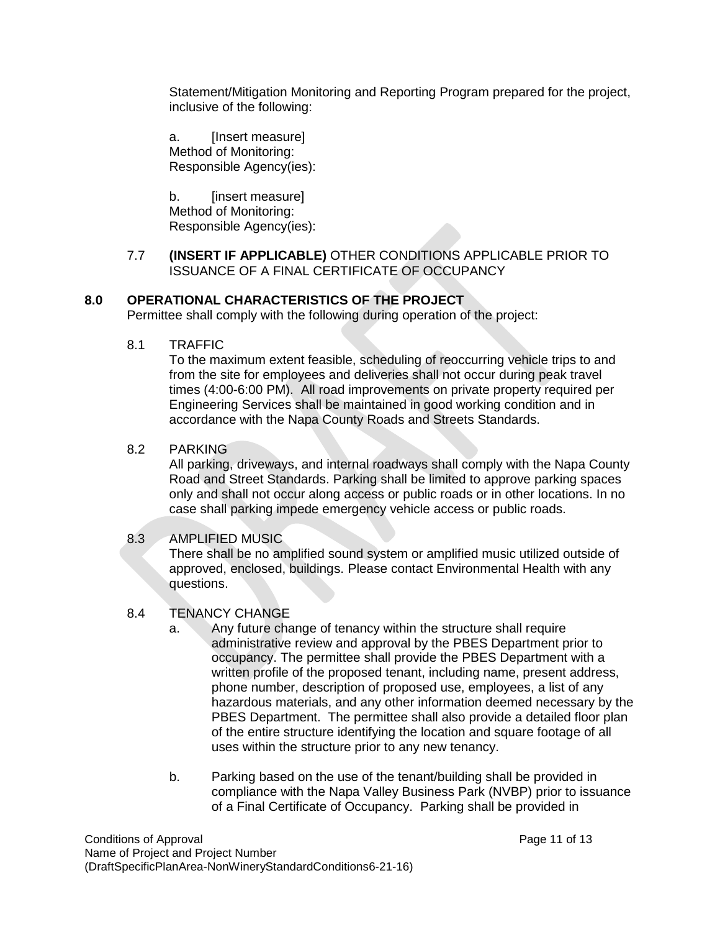Statement/Mitigation Monitoring and Reporting Program prepared for the project, inclusive of the following:

a. [Insert measure] Method of Monitoring: Responsible Agency(ies):

b. [insert measure] Method of Monitoring: Responsible Agency(ies):

#### 7.7 **(INSERT IF APPLICABLE)** OTHER CONDITIONS APPLICABLE PRIOR TO ISSUANCE OF A FINAL CERTIFICATE OF OCCUPANCY

# **8.0 OPERATIONAL CHARACTERISTICS OF THE PROJECT**

Permittee shall comply with the following during operation of the project:

8.1 TRAFFIC

To the maximum extent feasible, scheduling of reoccurring vehicle trips to and from the site for employees and deliveries shall not occur during peak travel times (4:00-6:00 PM). All road improvements on private property required per Engineering Services shall be maintained in good working condition and in accordance with the Napa County Roads and Streets Standards.

8.2 PARKING

All parking, driveways, and internal roadways shall comply with the Napa County Road and Street Standards. Parking shall be limited to approve parking spaces only and shall not occur along access or public roads or in other locations. In no case shall parking impede emergency vehicle access or public roads.

### 8.3 AMPLIFIED MUSIC

There shall be no amplified sound system or amplified music utilized outside of approved, enclosed, buildings. Please contact Environmental Health with any questions.

### 8.4 TENANCY CHANGE

- a. Any future change of tenancy within the structure shall require administrative review and approval by the PBES Department prior to occupancy. The permittee shall provide the PBES Department with a written profile of the proposed tenant, including name, present address, phone number, description of proposed use, employees, a list of any hazardous materials, and any other information deemed necessary by the PBES Department. The permittee shall also provide a detailed floor plan of the entire structure identifying the location and square footage of all uses within the structure prior to any new tenancy.
- b. Parking based on the use of the tenant/building shall be provided in compliance with the Napa Valley Business Park (NVBP) prior to issuance of a Final Certificate of Occupancy. Parking shall be provided in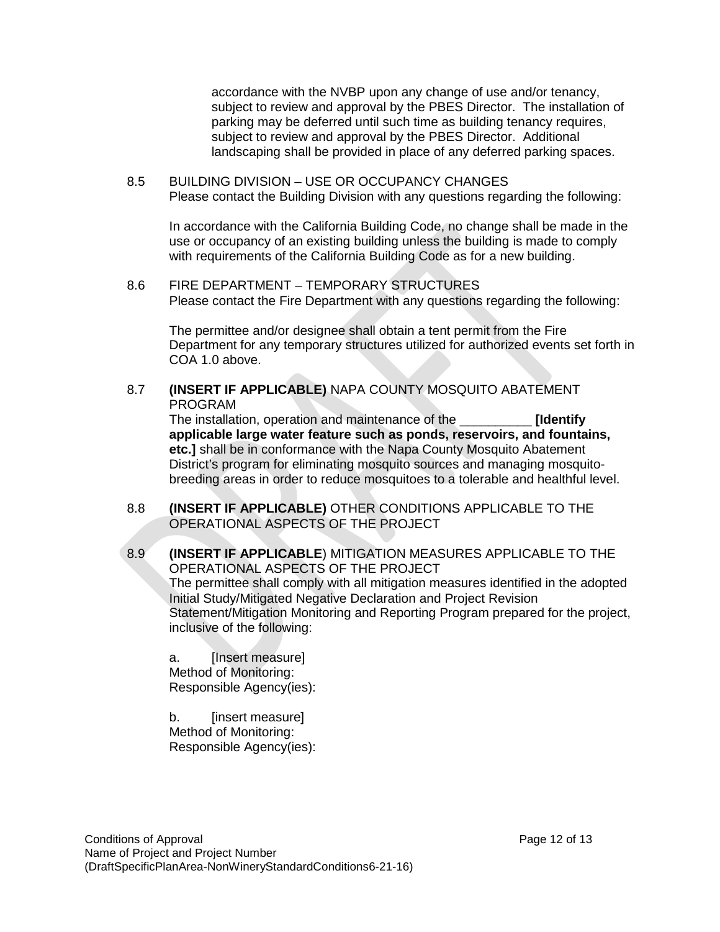accordance with the NVBP upon any change of use and/or tenancy, subject to review and approval by the PBES Director. The installation of parking may be deferred until such time as building tenancy requires, subject to review and approval by the PBES Director. Additional landscaping shall be provided in place of any deferred parking spaces.

8.5 BUILDING DIVISION – USE OR OCCUPANCY CHANGES Please contact the Building Division with any questions regarding the following:

In accordance with the California Building Code, no change shall be made in the use or occupancy of an existing building unless the building is made to comply with requirements of the California Building Code as for a new building.

8.6 FIRE DEPARTMENT – TEMPORARY STRUCTURES Please contact the Fire Department with any questions regarding the following:

The permittee and/or designee shall obtain a tent permit from the Fire Department for any temporary structures utilized for authorized events set forth in COA 1.0 above.

8.7 **(INSERT IF APPLICABLE)** NAPA COUNTY MOSQUITO ABATEMENT PROGRAM

The installation, operation and maintenance of the \_\_\_\_\_\_\_\_\_\_ **[Identify applicable large water feature such as ponds, reservoirs, and fountains, etc.]** shall be in conformance with the Napa County Mosquito Abatement District's program for eliminating mosquito sources and managing mosquitobreeding areas in order to reduce mosquitoes to a tolerable and healthful level.

- 8.8 **(INSERT IF APPLICABLE)** OTHER CONDITIONS APPLICABLE TO THE OPERATIONAL ASPECTS OF THE PROJECT
- 8.9 **(INSERT IF APPLICABLE**) MITIGATION MEASURES APPLICABLE TO THE OPERATIONAL ASPECTS OF THE PROJECT The permittee shall comply with all mitigation measures identified in the adopted Initial Study/Mitigated Negative Declaration and Project Revision Statement/Mitigation Monitoring and Reporting Program prepared for the project, inclusive of the following:

a. [Insert measure] Method of Monitoring: Responsible Agency(ies):

b. [insert measure] Method of Monitoring: Responsible Agency(ies):